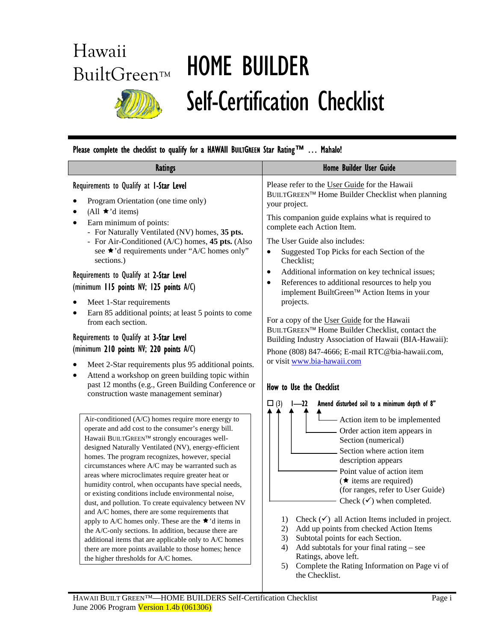# Hawaii

# BuiltGreen™ HOME BUILDER Self-Certification Checklist

# Please complete the checklist to qualify for a HAWAII BUILTGREEN Star Rating™ ... Mahalo!

| <b>Ratings</b>                                                                                                                                                                                                                                                                                                                                                                                                                                                                                                                                                                                                                                                                                                                                                                                                                                                                             | Home Builder User Guide                                                                                                                                                                                                                                                                                                                                                                                                                                                                                                                                                                                                                               |  |
|--------------------------------------------------------------------------------------------------------------------------------------------------------------------------------------------------------------------------------------------------------------------------------------------------------------------------------------------------------------------------------------------------------------------------------------------------------------------------------------------------------------------------------------------------------------------------------------------------------------------------------------------------------------------------------------------------------------------------------------------------------------------------------------------------------------------------------------------------------------------------------------------|-------------------------------------------------------------------------------------------------------------------------------------------------------------------------------------------------------------------------------------------------------------------------------------------------------------------------------------------------------------------------------------------------------------------------------------------------------------------------------------------------------------------------------------------------------------------------------------------------------------------------------------------------------|--|
| Requirements to Qualify at I-Star Level<br>Program Orientation (one time only)<br>(All $\star$ 'd items)                                                                                                                                                                                                                                                                                                                                                                                                                                                                                                                                                                                                                                                                                                                                                                                   | Please refer to the User Guide for the Hawaii<br>BUILTGREEN™ Home Builder Checklist when planning<br>your project.                                                                                                                                                                                                                                                                                                                                                                                                                                                                                                                                    |  |
| Earn minimum of points:<br>- For Naturally Ventilated (NV) homes, 35 pts.<br>- For Air-Conditioned (A/C) homes, 45 pts. (Also<br>see ★'d requirements under "A/C homes only"                                                                                                                                                                                                                                                                                                                                                                                                                                                                                                                                                                                                                                                                                                               | This companion guide explains what is required to<br>complete each Action Item.<br>The User Guide also includes:<br>Suggested Top Picks for each Section of the<br>$\bullet$                                                                                                                                                                                                                                                                                                                                                                                                                                                                          |  |
| sections.)<br>Requirements to Qualify at 2-Star Level<br>(minimum 115 points NV; 125 points A/C)                                                                                                                                                                                                                                                                                                                                                                                                                                                                                                                                                                                                                                                                                                                                                                                           | Checklist;<br>Additional information on key technical issues;<br>$\bullet$<br>References to additional resources to help you<br>$\bullet$<br>implement BuiltGreen™ Action Items in your                                                                                                                                                                                                                                                                                                                                                                                                                                                               |  |
| Meet 1-Star requirements<br>Earn 85 additional points; at least 5 points to come<br>from each section.                                                                                                                                                                                                                                                                                                                                                                                                                                                                                                                                                                                                                                                                                                                                                                                     | projects.<br>For a copy of the User Guide for the Hawaii<br>BUILTGREEN™ Home Builder Checklist, contact the                                                                                                                                                                                                                                                                                                                                                                                                                                                                                                                                           |  |
| Requirements to Qualify at 3-Star Level<br>(minimum 210 points NV; 220 points A/C)                                                                                                                                                                                                                                                                                                                                                                                                                                                                                                                                                                                                                                                                                                                                                                                                         | Building Industry Association of Hawaii (BIA-Hawaii):<br>Phone (808) 847-4666; E-mail RTC@bia-hawaii.com,<br>or visit www.bia-hawaii.com                                                                                                                                                                                                                                                                                                                                                                                                                                                                                                              |  |
| Meet 2-Star requirements plus 95 additional points.<br>Attend a workshop on green building topic within<br>$\bullet$<br>past 12 months (e.g., Green Building Conference or<br>construction waste management seminar)                                                                                                                                                                                                                                                                                                                                                                                                                                                                                                                                                                                                                                                                       | How to Use the Checklist                                                                                                                                                                                                                                                                                                                                                                                                                                                                                                                                                                                                                              |  |
| Air-conditioned (A/C) homes require more energy to<br>operate and add cost to the consumer's energy bill.<br>Hawaii BUILTGREEN™ strongly encourages well-<br>designed Naturally Ventilated (NV), energy-efficient<br>homes. The program recognizes, however, special<br>circumstances where A/C may be warranted such as<br>areas where microclimates require greater heat or<br>humidity control, when occupants have special needs,<br>or existing conditions include environmental noise,<br>dust, and pollution. To create equivalency between NV<br>and A/C homes, there are some requirements that<br>apply to A/C homes only. These are the $\star$ 'd items in<br>the A/C-only sections. In addition, because there are<br>additional items that are applicable only to A/C homes<br>there are more points available to those homes; hence<br>the higher thresholds for A/C homes. | Amend disturbed soil to a minimum depth of 8"<br>(3)<br>22<br>- Action item to be implemented<br>Order action item appears in<br>Section (numerical)<br>Section where action item<br>description appears<br>Point value of action item<br>$(\star$ items are required)<br>(for ranges, refer to User Guide)<br>Check $(\checkmark)$ when completed.<br>Check $(\checkmark)$ all Action Items included in project.<br>1)<br>Add up points from checked Action Items<br>2)<br>Subtotal points for each Section.<br>3)<br>Add subtotals for your final rating - see<br>4)<br>Ratings, above left.<br>Complete the Rating Information on Page vi of<br>5) |  |

the Checklist.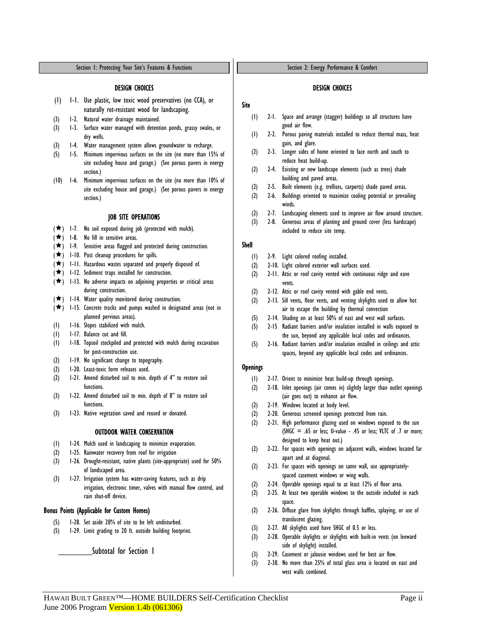#### DESIGN CHOICES

- (1) 1-1. Use plastic, low toxic wood preservatives (no CCA), or naturally rot-resistant wood for landscaping.
- (3) 1-2. Natural water drainage maintained.
- (3) 1-3. Surface water managed with detention ponds, grassy swales, or dry wells.
- (3) 1-4. Water management system allows groundwater to recharge.
- (5) 1-5. Minimum impervious surfaces on the site (no more than 15% of site excluding house and garage.) (See porous pavers in energy section.)
- (10) 1-6. Minimum impervious surfaces on the site (no more than 10% of site excluding house and garage.) (See porous pavers in energy section.)

#### JOB SITE OPERATIONS

- $(\star)$  1-7. No soil exposed during job (protected with mulch).
- $(\star)$  1-8. No fill in sensitive areas.
- $(\star)$  1-9. Sensitive areas flagged and protected during construction.
- $(\star)$  1-10. Post cleanup procedures for spills.
- $(\star)$  1-11. Hazardous wastes separated and properly disposed of.
- $(\star)$  1-12. Sediment traps installed for construction.
- $(\star)$  1-13. No adverse impacts on adjoining properties or critical areas during construction.
- $(\star)$  1-14. Water quality monitored during construction.
- $(\star)$  1-15. Concrete trucks and pumps washed in designated areas (not in planned pervious areas).
- (1) 1-16. Slopes stabilized with mulch.
- (1) 1-17. Balance cut and fill.
- (1) 1-18. Topsoil stockpiled and protected with mulch during excavation for post-construction use.
- (2) 1-19. No significant change to topography.
- (2) 1-20. Least-toxic form releases used.
- (2) 1-21. Amend disturbed soil to min. depth of 4" to restore soil functions.
- (3) 1-22. Amend disturbed soil to min. depth of 8" to restore soil functions.
- (3) 1-23. Native vegetation saved and reused or donated.

# OUTDOOR WATER CONSERVATION

- (1) 1-24. Mulch used in landscaping to minimize evaporation.
- (2) 1-25. Rainwater recovery from roof for irrigation
- (3) 1-26. Drought-resistant, native plants (site-appropriate) used for 50% of landscaped area.
- (3) 1-27. Irrigation system has water-saving features, such as drip irrigation, electronic timer, valves with manual flow control, and rain shut-off device.

#### Bonus Points (Applicable for Custom Homes)

- (5) 1-28. Set aside 20% of site to be left undisturbed.
- (5) 1-29. Limit grading to 20 ft. outside building footprint.

Subtotal for Section 1

Section 2: Energy Performance & Comfort

#### DESIGN CHOICES

- Site
	- (1) 2-1. Space and arrange (stagger) buildings so all structures have good air flow.
	- (1) 2-2. Porous paving materials installed to reduce thermal mass, heat gain, and glare.
	- (2) 2-3. Longer sides of home oriented to face north and south to reduce heat build-up.
	- (2) 2-4. Existing or new landscape elements (such as trees) shade building and paved areas.
	- (2) 2-5. Built elements (e.g. trellises, carports) shade paved areas.
	- (2) 2-6. Buildings oriented to maximize cooling potential or prevailing winds.
	- (2) 2-7. Landscaping elements used to improve air flow around structure.
	- (3) 2-8. Generous areas of planting and ground cover (less hardscape) included to reduce site temp.

# Shell

- (1) 2-9. Light colored roofing installed.
- (2) 2-10. Light colored exterior wall surfaces used.
- (2) 2-11. Attic or roof cavity vented with continuous ridge and eave vents.
- (2) 2-12. Attic or roof cavity vented with gable end vents.
- (2) 2-13. Sill vents, floor vents, and venting skylights used to allow hot air to escape the building by thermal convection
- (5) 2-14. Shading on at least 50% of east and west wall surfaces.
- (5) 2-15 Radiant barriers and/or insulation installed in walls exposed to the sun, beyond any applicable local codes and ordinances.
- (5) 2-16. Radiant barriers and/or insulation installed in ceilings and attic spaces, beyond any applicable local codes and ordinances.

# **Openings**

- (1) 2-17. Orient to minimize heat build-up through openings.
- (2) 2-18. Inlet openings (air comes in) slightly larger than outlet openings (air goes out) to enhance air flow.
- (2) 2-19. Windows located at body level.
- (2) 2-20. Generous screened openings protected from rain.
- (2) 2-21. High performance glazing used on windows exposed to the sun  $(SHGC = .65$  or less; U-value - .45 or less; VLTC of .7 or more; designed to keep heat out.)
- (2) 2-22. For spaces with openings on adjacent walls, windows located far apart and at diagonal.
- (2) 2-23. For spaces with openings on same wall, use appropriatelyspaced casement windows or wing walls.
- (2) 2-24. Operable openings equal to at least 12% of floor area.
- (2) 2-25. At least two operable windows to the outside included in each space.
- (2) 2-26. Diffuse glare from skylights through baffles, splaying, or use of translucent glazing.
- (3) 2-27. All skylights used have SHGC of 0.5 or less.
- (3) 2-28. Operable skylights or skylights with built-in vents (on leeward side of skylight) installed.
- (3) 2-29. Casement or jalousie windows used for best air flow.
- (3) 2-30. No more than 25% of total glass area is located on east and west walls combined.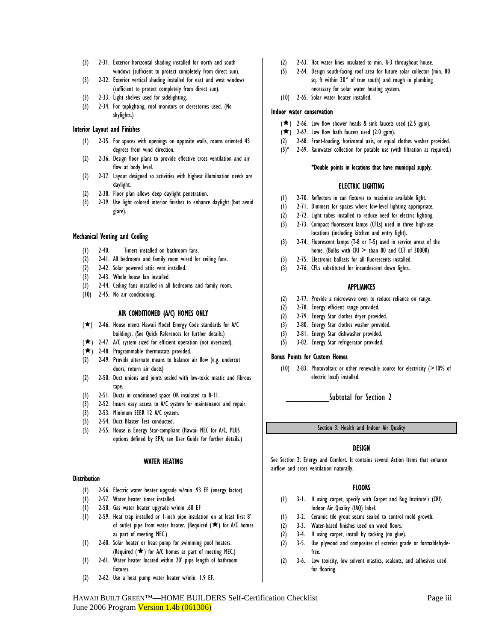- (3) 2-31. Exterior horizontal shading installed for north and south windows (sufficient to protect completely from direct sun).
- (3) 2-32. Exterior vertical shading installed for east and west windows (sufficient to protect completely from direct sun).
- (3) 2-33. Light shelves used for sidelighting.
- (3) 2-34. For toplighting, roof monitors or clerestories used. (No skylights.)

## Interior Layout and Finishes

- (1) 2-35. For spaces with openings on opposite walls, rooms oriented 45 degrees from wind direction.
- (2) 2-36. Design floor plans to provide effective cross ventilation and air flow at body level.
- (2) 2-37. Layout designed so activities with highest illumination needs are daylight.
- (2) 2-38. Floor plan allows deep daylight penetration.
- (3) 2-39. Use light colored interior finishes to enhance daylight (but avoid glare).

# Mechanical Venting and Cooling

- (1) 2-40. Timers installed on bathroom fans.
- (2) 2-41. All bedrooms and family room wired for ceiling fans.
- (2) 2-42. Solar powered attic vent installed.
- (3) 2-43. Whole house fan installed.
- (3) 2-44. Ceiling fans installed in all bedrooms and family room.
- (10) 2-45. No air conditioning.

# AIR CONDITIONED (A/C) HOMES ONLY

- $(\star)$  2-46. House meets Hawaii Model Energy Code standards for A/C buildings. (See Quick References for further details.)
- $(\star)$  2-47. A/C system sized for efficient operation (not oversized).
- $(\star)$  2-48. Programmable thermostats provided.
- (2) 2-49. Provide alternate means to balance air flow (e.g. undercut doors, return air ducts)
- (2) 2-50. Duct unions and joints sealed with low-toxic mastic and fibrous tape.
- (3) 2-51. Ducts in conditioned space OR insulated to R-11.
- (3) 2-52. Insure easy access to A/C system for maintenance and repair.
- (3) 2-53. Minimum SEER 12 A/C system.
- (5) 2-54. Duct Blaster Test conducted.
- (5) 2-55. House is Energy Star-compliant (Hawaii MEC for A/C, PLUS options defined by EPA; see User Guide for further details.)

#### WATER HEATING

#### **Distribution**

- (1) 2-56. Electric water heater upgrade w/min .93 EF (energy factor)
- (1) 2-57. Water heater timer installed.
- (1) 2-58. Gas water heater upgrade w/min .60 EF
- (1) 2-59. Heat trap installed or 1-inch pipe insulation on at least first 8' of outlet pipe from water heater. (Required  $(\bigstar)$  for A/C homes as part of meeting MEC.)
- (1) 2-60. Solar heater or heat pump for swimming pool heaters. (Required  $(\star)$  for A/C homes as part of meeting MEC.)
- (1) 2-61. Water heater located within 20' pipe length of bathroom fixtures.
- (2) 2-62. Use a heat pump water heater w/min. 1.9 EF.
- (2) 2-63. Hot water lines insulated to min. R-3 throughout house.
- (5) 2-64. Design south-facing roof area for future solar collector (min. 80 sq. ft within 30° of true south) and rough in plumbing necessary for solar water heating system.
- (10) 2-65. Solar water heater installed.

## Indoor water conservation

- $(\star)$  2-66. Low flow shower heads & sink faucets used (2.5 gpm).
- $(\star)$  2-67. Low flow bath faucets used (2.0 gpm).
- (2) 2-68. Front-loading, horizontal axis, or equal clothes washer provided.
- (5)\* 2-69. Rainwater collection for potable use (with filtration as required.)

#### \*Double points in locations that have municipal supply.

# ELECTRIC LIGHTING

- (1) 2-70. Reflectors in can fixtures to maximize available light.
- (1) 2-71. Dimmers for spaces where low-level lighting appropriate.
- (2) 2-72. Light tubes installed to reduce need for electric lighting.
- (3) 2-73. Compact fluorescent lamps (CFLs) used in three high-use locations (including kitchen and entry light).
- (3) 2-74. Fluorescent lamps (T-8 or T-5) used in service areas of the home. (Bulbs with  $CRI >$  than 80 and CCT of 3000K)
- (3) 2-75. Electronic ballasts for all fluorescents installed.
- (3) 2-76. CFLs substituted for incandescent down lights.

# APPLIANCES

- (2) 2-77. Provide a microwave oven to reduce reliance on range.
- (2) 2-78. Energy efficient range provided.
- (2) 2-79. Energy Star clothes dryer provided.
- (3) 2-80. Energy Star clothes washer provided.
- (3) 2-81. Energy Star dishwasher provided.
- (5) 3-82. Energy Star refrigerator provided.

#### Bonus Points for Custom Homes

 (10) 2-83. Photovoltaic or other renewable source for electricity (>10% of electric load) installed.

# Subtotal for Section 2

Section 3: Health and Indoor Air Quality

# DESIGN

See Section 2: Energy and Comfort. It contains several Action Items that enhance airflow and cross ventilation naturally.

# **FLOORS**

- (1) 3-1. If using carpet, specify with Carpet and Rug Institute's (CRI) Indoor Air Quality (IAQ) label.
- (1) 3-2. Ceramic tile grout seams sealed to control mold growth.
- (2) 3-3. Water-based finishes used on wood floors.
- (2) 3-4. If using carpet, install by tacking (no glue).
- (2) 3-5. Use plywood and composites of exterior grade or formaldehydefree.
- (2) 3-6. Low toxicity, low solvent mastics, sealants, and adhesives used for flooring.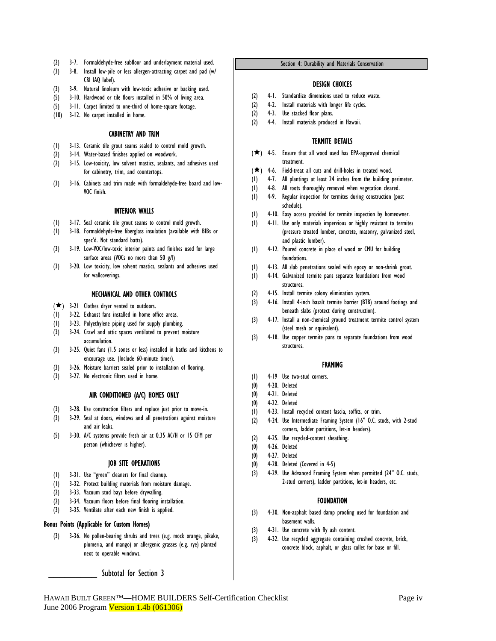- (2) 3-7. Formaldehyde-free subfloor and underlayment material used.
- (3) 3-8. Install low-pile or less allergen-attracting carpet and pad (w/ CRI IAQ label).
- (3) 3-9. Natural linoleum with low-toxic adhesive or backing used.
- (5) 3-10. Hardwood or tile floors installed in 50% of living area.
- (5) 3-11. Carpet limited to one-third of home-square footage.
- (10) 3-12. No carpet installed in home.

# CABINETRY AND TRIM

- (1) 3-13. Ceramic tile grout seams sealed to control mold growth.
- (2) 3-14. Water-based finishes applied on woodwork.
- (2) 3-15. Low-toxicity, low solvent mastics, sealants, and adhesives used for cabinetry, trim, and countertops.
- (3) 3-16. Cabinets and trim made with formaldehyde-free board and low-VOC finish.

## INTERIOR WALLS

- (1) 3-17. Seal ceramic tile grout seams to control mold growth.
- (1) 3-18. Formaldehyde-free fiberglass insulation (available with BIBs or spec'd. Not standard batts).
- (3) 3-19. Low-VOC/low-toxic interior paints and finishes used for large surface areas (VOCs no more than 50 g/l)
- (3) 3-20. Low toxicity, low solvent mastics, sealants and adhesives used for wallcoverings.

# MECHANICAL AND OTHER CONTROLS

- $(\star)$  3-21 Clothes dryer vented to outdoors.
- (1) 3-22. Exhaust fans installed in home office areas.
- (1) 3-23. Polyethylene piping used for supply plumbing.
- (3) 3-24. Crawl and attic spaces ventilated to prevent moisture accumulation.
- (3) 3-25. Quiet fans (1.5 sones or less) installed in baths and kitchens to encourage use. (Include 60-minute timer).
- (3) 3-26. Moisture barriers sealed prior to installation of flooring.
- (3) 3-27. No electronic filters used in home.

#### AIR CONDITIONED (A/C) HOMES ONLY

- (3) 3-28. Use construction filters and replace just prior to move-in.
- (3) 3-29. Seal at doors, windows and all penetrations against moisture and air leaks.
- (5) 3-30. A/C systems provide fresh air at 0.35 AC/H or 15 CFM per person (whichever is higher).

## JOB SITE OPERATIONS

- (1) 3-31. Use "green" cleaners for final cleanup.
- (1) 3-32. Protect building materials from moisture damage.
- (2) 3-33. Vacuum stud bays before drywalling.
- (2) 3-34. Vacuum floors before final flooring installation.
- (3) 3-35. Ventilate after each new finish is applied.

#### Bonus Points (Applicable for Custom Homes)

 (3) 3-36. No pollen-bearing shrubs and trees (e.g. mock orange, pikake, plumeria, and mango) or allergenic grasses (e.g. rye) planted next to operable windows.

Subtotal for Section 3

#### Section 4: Durability and Materials Conservation

#### DESIGN CHOICES

- (2) 4-1. Standardize dimensions used to reduce waste.
- (2) 4-2. Install materials with longer life cycles.
- (2) 4-3. Use stacked floor plans.
- (2) 4-4. Install materials produced in Hawaii.

## TERMITE DETAILS

- $(\star)$  4-5. Ensure that all wood used has EPA-approved chemical treatment.
- $(\star)$  4-6. Field-treat all cuts and drill-holes in treated wood.
- (1) 4-7. All plantings at least 24 inches from the building perimeter.
- (1) 4-8. All roots thoroughly removed when vegetation cleared.
- (1) 4-9. Regular inspection for termites during construction (post schedule).
- (1) 4-10. Easy access provided for termite inspection by homeowner.
- (1) 4-11. Use only materials impervious or highly resistant to termites (pressure treated lumber, concrete, masonry, galvanized steel, and plastic lumber).
- (1) 4-12. Poured concrete in place of wood or CMU for building foundations.
- (1) 4-13. All slab penetrations sealed with epoxy or non-shrink grout.
- (1) 4-14. Galvanized termite pans separate foundations from wood
- structures.
- (2) 4-15. Install termite colony elimination system.
- (3) 4-16. Install 4-inch basalt termite barrier (BTB) around footings and beneath slabs (protect during construction).
- (3) 4-17. Install a non-chemical ground treatment termite control system (steel mesh or equivalent).
- (3) 4-18. Use copper termite pans to separate foundations from wood structures.

#### FRAMING

- (1) 4-19 Use two-stud corners.
- (0) 4-20. Deleted
- (0) 4-21. Deleted
- (0) 4-22. Deleted
- (1) 4-23. Install recycled content fascia, soffits, or trim.
- (2) 4-24. Use Intermediate Framing System (16" O.C. studs, with 2-stud corners, ladder partitions, let-in headers).
- (2) 4-25. Use recycled-content sheathing.
- (0) 4-26. Deleted
- (0) 4-27. Deleted
- (0) 4-28. Deleted (Covered in 4-5)
- (3) 4-29. Use Advanced Framing System when permitted (24" O.C. studs, 2-stud corners), ladder partitions, let-in headers, etc.

#### FOUNDATION

- (3) 4-30. Non-asphalt based damp proofing used for foundation and basement walls.
- (3) 4-31. Use concrete with fly ash content.
- (3) 4-32. Use recycled aggregate containing crushed concrete, brick, concrete block, asphalt, or glass cullet for base or fill.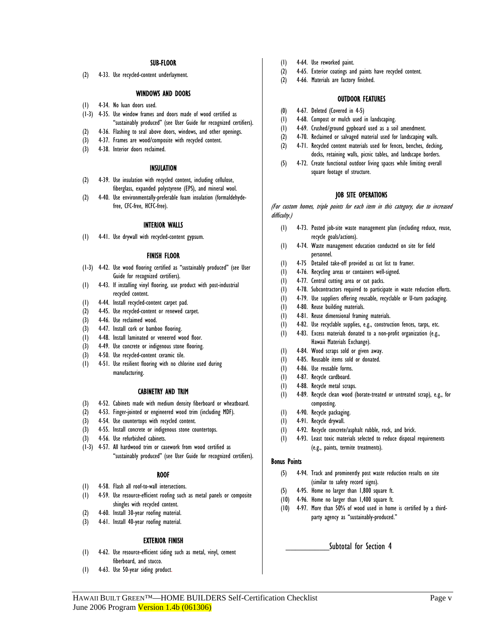#### SUB-FLOOR

(2) 4-33. Use recycled-content underlayment.

#### WINDOWS AND DOORS

- (1) 4-34. No luan doors used.
- (1-3) 4-35. Use window frames and doors made of wood certified as "sustainably produced" (see User Guide for recognized certifiers).
- (2) 4-36. Flashing to seal above doors, windows, and other openings.
- (3) 4-37. Frames are wood/composite with recycled content.
- (3) 4-38. Interior doors reclaimed.

#### INSULATION

- (2) 4-39. Use insulation with recycled content, including cellulose, fiberglass, expanded polystyrene (EPS), and mineral wool.
- (2) 4-40. Use environmentally-preferable foam insulation (formaldehydefree, CFC-free, HCFC-free).

#### INTERIOR WALLS

(1) 4-41. Use drywall with recycled-content gypsum.

#### FINISH FLOOR

- (1-3) 4-42. Use wood flooring certified as "sustainably produced" (see User Guide for recognized certifiers).
- (1) 4-43. If installing vinyl flooring, use product with post-industrial recycled content.
- (1) 4-44. Install recycled-content carpet pad.
- (2) 4-45. Use recycled-content or renewed carpet.
- (3) 4-46. Use reclaimed wood.
- (3) 4-47. Install cork or bamboo flooring.
- (1) 4-48. Install laminated or veneered wood floor.
- (3) 4-49. Use concrete or indigenous stone flooring.
- (3) 4-50. Use recycled-content ceramic tile.
- (1) 4-51. Use resilient flooring with no chlorine used during manufacturing.

#### CABINETRY AND TRIM

- (3) 4-52. Cabinets made with medium density fiberboard or wheatboard.
- (2) 4-53. Finger-jointed or engineered wood trim (including MDF).
- (3) 4-54. Use countertops with recycled content.
- (3) 4-55. Install concrete or indigenous stone countertops.
- (3) 4-56. Use refurbished cabinets.
- (1-3) 4-57. All hardwood trim or casework from wood certified as "sustainably produced" (see User Guide for recognized certifiers).

#### ROOF

- (1) 4-58. Flash all roof-to-wall intersections.
- (1) 4-59. Use resource-efficient roofing such as metal panels or composite shingles with recycled content.
- (2) 4-60. Install 30-year roofing material.
- (3) 4-61. Install 40-year roofing material.

#### EXTERIOR FINISH

- (1) 4-62. Use resource-efficient siding such as metal, vinyl, cement fiberboard, and stucco.
- (1) 4-63. Use 50-year siding product.
- (1) 4-64. Use reworked paint.
- (2) 4-65. Exterior coatings and paints have recycled content.
- (2) 4-66. Materials are factory finished.

#### OUTDOOR FEATURES

- (0) 4-67. Deleted (Covered in 4-5)
- (1) 4-68. Compost or mulch used in landscaping.
- (1) 4-69. Crushed/ground gypboard used as a soil amendment.
- (2) 4-70. Reclaimed or salvaged material used for landscaping walls.
- (2) 4-71. Recycled content materials used for fences, benches, decking, docks, retaining walls, picnic tables, and landscape borders.
- (5) 4-72. Create functional outdoor living spaces while limiting overall square footage of structure.

#### JOB SITE OPERATIONS

(For custom homes, triple points for each item in this category, due to increased difficulty.)

- (1) 4-73. Posted job-site waste management plan (including reduce, reuse, recycle goals/actions).
- (1) 4-74. Waste management education conducted on site for field personnel.
- (1) 4-75 Detailed take-off provided as cut list to framer.
- (1) 4-76. Recycling areas or containers well-signed.
- (1) 4-77. Central cutting area or cut packs.
- (1) 4-78. Subcontractors required to participate in waste reduction efforts.
- (1) 4-79. Use suppliers offering reusable, recyclable or U-turn packaging.
- (1) 4-80. Reuse building materials.
- (1) 4-81. Reuse dimensional framing materials.
- (1) 4-82. Use recyclable supplies, e.g., construction fences, tarps, etc.
- (1) 4-83. Excess materials donated to a non-profit organization (e.g., Hawaii Materials Exchange).
- (1) 4-84. Wood scraps sold or given away.
- (1) 4-85. Reusable items sold or donated.
- (1) 4-86. Use reusable forms.
- (1) 4-87. Recycle cardboard.
- (1) 4-88. Recycle metal scraps.
- (1) 4-89. Recycle clean wood (borate-treated or untreated scrap), e.g., for composting.
- (1) 4-90. Recycle packaging.
- (1) 4-91. Recycle drywall.
- (1) 4-92. Recycle concrete/asphalt rubble, rock, and brick.
- (1) 4-93. Least toxic materials selected to reduce disposal requirements (e.g., paints, termite treatments).

#### Bonus Points

- (5) 4-94. Track and prominently post waste reduction results on site (similar to safety record signs).
- (5) 4-95. Home no larger than 1,800 square ft.
- (10) 4-96. Home no larger than 1,400 square ft.
- (10) 4-97. More than 50% of wood used in home is certified by a thirdparty agency as "sustainably-produced."

Subtotal for Section 4